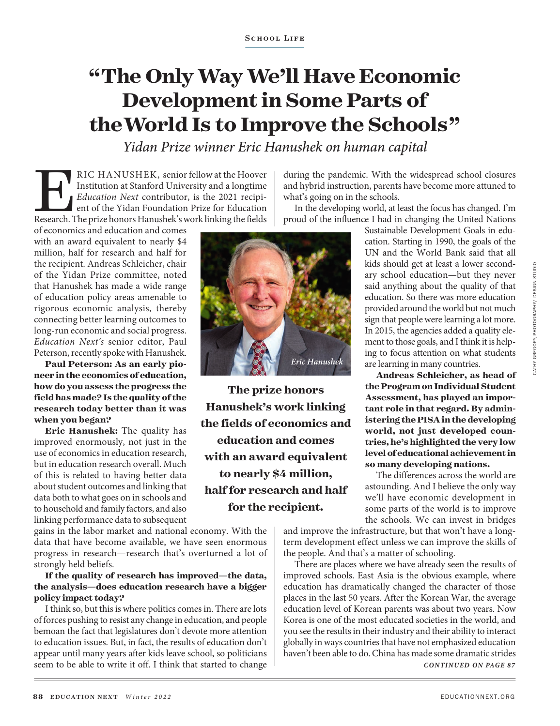## **"The Only Way We'll Have Economic Development in Some Parts of the World Is to Improve the Schools"**

*Yidan Prize winner Eric Hanushek on human capital*

*Eric Hanushek*

**The prize honors Hanushek's work linking the fields of economics and education and comes with an award equivalent to nearly \$4 million, half for research and half for the recipient.**

RIC HANUSHEK, senior fellow at the Hoover<br>
Institution at Stanford University and a longtime<br> *Education Next* contributor, is the 2021 recipi-<br>
ent of the Yidan Foundation Prize for Education<br>
Research. The prize honors H Institution at Stanford University and a longtime *Education Next* contributor, is the 2021 recipient of the Yidan Foundation Prize for Education

of economics and education and comes with an award equivalent to nearly \$4 million, half for research and half for the recipient. Andreas Schleicher, chair of the Yidan Prize committee, noted that Hanushek has made a wide range of education policy areas amenable to rigorous economic analysis, thereby connecting better learning outcomes to long-run economic and social progress. *Education Next's* senior editor, Paul Peterson, recently spoke with Hanushek.

**Paul Peterson: As an early pioneer in the economics of education, how do you assess the progress the field has made? Is the quality of the research today better than it was when you began?**

**Eric Hanushek:** The quality has improved enormously, not just in the use of economics in education research, but in education research overall. Much of this is related to having better data about student outcomes and linking that data both to what goes on in schools and to household and family factors, and also linking performance data to subsequent

gains in the labor market and national economy. With the data that have become available, we have seen enormous progress in research—research that's overturned a lot of strongly held beliefs.

## **If the quality of research has improved—the data, the analysis—does education research have a bigger policy impact today?**

I think so, but this is where politics comes in. There are lots of forces pushing to resist any change in education, and people bemoan the fact that legislatures don't devote more attention to education issues. But, in fact, the results of education don't appear until many years after kids leave school, so politicians seem to be able to write it off. I think that started to change during the pandemic. With the widespread school closures and hybrid instruction, parents have become more attuned to what's going on in the schools.

In the developing world, at least the focus has changed. I'm proud of the influence I had in changing the United Nations

> Sustainable Development Goals in education. Starting in 1990, the goals of the UN and the World Bank said that all kids should get at least a lower secondary school education—but they never said anything about the quality of that education. So there was more education provided around the world but not much sign that people were learning a lot more. In 2015, the agencies added a quality element to those goals, and I think it is helping to focus attention on what students are learning in many countries.

> **Andreas Schleicher, as head of the Program on Individual Student Assessment, has played an important role in that regard. By administering the PISA in the developing world, not just developed countries, he's highlighted the very low level of educational achievement in so many developing nations.**

> The differences across the world are astounding. And I believe the only way we'll have economic development in some parts of the world is to improve the schools. We can invest in bridges

and improve the infrastructure, but that won't have a longterm development effect unless we can improve the skills of the people. And that's a matter of schooling.

There are places where we have already seen the results of improved schools. East Asia is the obvious example, where education has dramatically changed the character of those places in the last 50 years. After the Korean War, the average education level of Korean parents was about two years. Now Korea is one of the most educated societies in the world, and you see the results in their industry and their ability to interact globally in ways countries that have not emphasized education haven't been able to do. China has made some dramatic strides *CONTINUED ON PAGE 87*